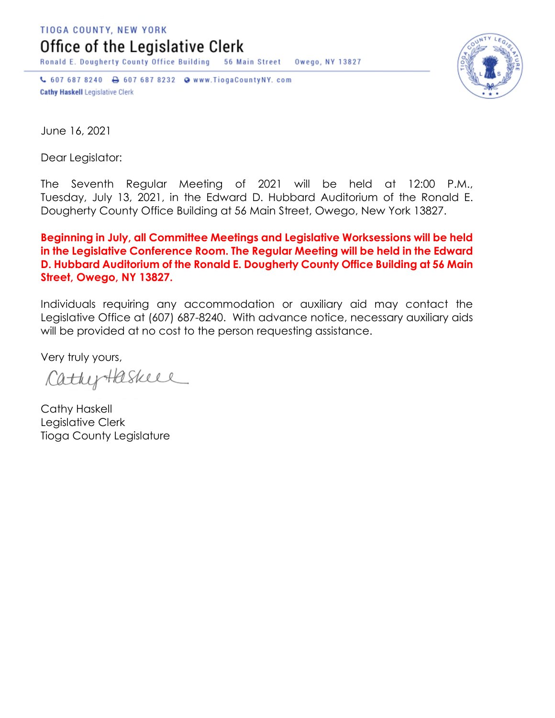TIOGA COUNTY, NEW YORK

Office of the Legislative Clerk

**Ronald E. Dougherty County Office Building** 56 Main Street Owego, NY 13827

↓ 607 687 8240 → 607 687 8232 → www.TiogaCountyNY.com **Cathy Haskell Legislative Clerk** 



June 16, 2021

Dear Legislator:

The Seventh Regular Meeting of 2021 will be held at 12:00 P.M., Tuesday, July 13, 2021, in the Edward D. Hubbard Auditorium of the Ronald E. Dougherty County Office Building at 56 Main Street, Owego, New York 13827.

**Beginning in July, all Committee Meetings and Legislative Worksessions will be held in the Legislative Conference Room. The Regular Meeting will be held in the Edward D. Hubbard Auditorium of the Ronald E. Dougherty County Office Building at 56 Main Street, Owego, NY 13827.**

Individuals requiring any accommodation or auxiliary aid may contact the Legislative Office at (607) 687-8240. With advance notice, necessary auxiliary aids will be provided at no cost to the person requesting assistance.

Very truly yours,

CathyHaskell

Cathy Haskell Legislative Clerk Tioga County Legislature